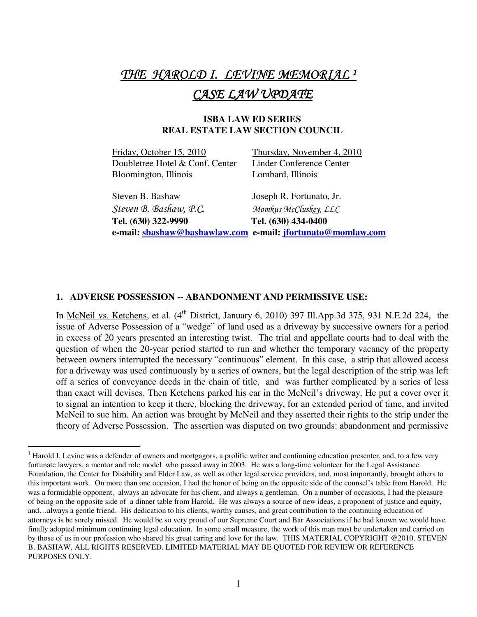# THE HAROLD I. LEVINE MEMORIAL <sup>1</sup> CASE LAW UPDATE

## **ISBA LAW ED SERIES REAL ESTATE LAW SECTION COUNCIL**

| e-mail: sbashaw@bashawlaw.com e-mail: jfortunato@momlaw.com |                            |
|-------------------------------------------------------------|----------------------------|
| Tel. (630) 322-9990                                         | Tel. (630) 434-0400        |
| Steven B. Bashaw, P.C.                                      | Momkus McCluskey, LLC      |
| Steven B. Bashaw                                            | Joseph R. Fortunato, Jr.   |
| Bloomington, Illinois                                       | Lombard, Illinois          |
| Doubletree Hotel & Conf. Center                             | Linder Conference Center   |
| Friday, October 15, 2010                                    | Thursday, November 4, 2010 |

#### **1. ADVERSE POSSESSION -- ABANDONMENT AND PERMISSIVE USE:**

 $\overline{a}$ 

In McNeil vs. Ketchens, et al.  $(4<sup>th</sup>$  District, January 6, 2010) 397 Ill.App.3d 375, 931 N.E.2d 224, the issue of Adverse Possession of a "wedge" of land used as a driveway by successive owners for a period in excess of 20 years presented an interesting twist. The trial and appellate courts had to deal with the question of when the 20-year period started to run and whether the temporary vacancy of the property between owners interrupted the necessary "continuous" element. In this case, a strip that allowed access for a driveway was used continuously by a series of owners, but the legal description of the strip was left off a series of conveyance deeds in the chain of title, and was further complicated by a series of less than exact will devises. Then Ketchens parked his car in the McNeil's driveway. He put a cover over it to signal an intention to keep it there, blocking the driveway, for an extended period of time, and invited McNeil to sue him. An action was brought by McNeil and they asserted their rights to the strip under the theory of Adverse Possession. The assertion was disputed on two grounds: abandonment and permissive

 $1$  Harold I. Levine was a defender of owners and mortgagors, a prolific writer and continuing education presenter, and, to a few very fortunate lawyers, a mentor and role model who passed away in 2003. He was a long-time volunteer for the Legal Assistance Foundation, the Center for Disability and Elder Law, as well as other legal service providers, and, most importantly, brought others to this important work. On more than one occasion, I had the honor of being on the opposite side of the counsel's table from Harold. He was a formidable opponent, always an advocate for his client, and always a gentleman. On a number of occasions, I had the pleasure of being on the opposite side of a dinner table from Harold. He was always a source of new ideas, a proponent of justice and equity, and…always a gentle friend. His dedication to his clients, worthy causes, and great contribution to the continuing education of attorneys is be sorely missed. He would be so very proud of our Supreme Court and Bar Associations if he had known we would have finally adopted minimum continuing legal education. In some small measure, the work of this man must be undertaken and carried on by those of us in our profession who shared his great caring and love for the law. THIS MATERIAL COPYRIGHT @2010, STEVEN B. BASHAW, ALL RIGHTS RESERVED. LIMITED MATERIAL MAY BE QUOTED FOR REVIEW OR REFERENCE PURPOSES ONLY.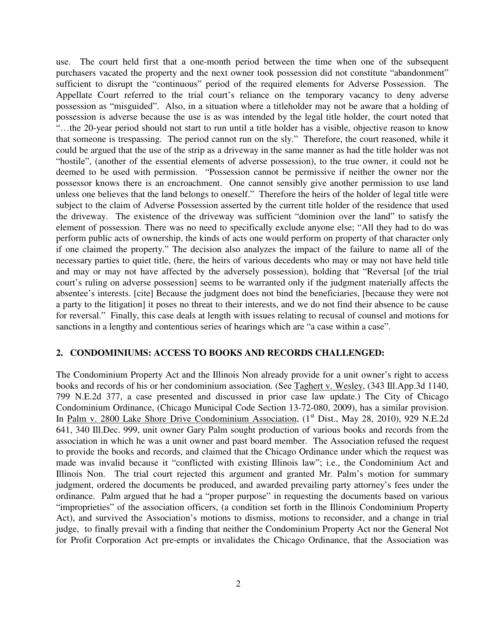use. The court held first that a one-month period between the time when one of the subsequent purchasers vacated the property and the next owner took possession did not constitute "abandonment" sufficient to disrupt the "continuous" period of the required elements for Adverse Possession. The Appellate Court referred to the trial court's reliance on the temporary vacancy to deny adverse possession as "misguided". Also, in a situation where a titleholder may not be aware that a holding of possession is adverse because the use is as was intended by the legal title holder, the court noted that ...the 20-year period should not start to run until a title holder has a visible, objective reason to know that someone is trespassing. The period cannot run on the sly." Therefore, the court reasoned, while it could be argued that the use of the strip as a driveway in the same manner as had the title holder was not "hostile", (another of the essential elements of adverse possession), to the true owner, it could not be deemed to be used with permission. "Possession cannot be permissive if neither the owner nor the possessor knows there is an encroachment. One cannot sensibly give another permission to use land unless one believes that the land belongs to oneself." Therefore the heirs of the holder of legal title were subject to the claim of Adverse Possession asserted by the current title holder of the residence that used the driveway. The existence of the driveway was sufficient "dominion over the land" to satisfy the element of possession. There was no need to specifically exclude anyone else; "All they had to do was perform public acts of ownership, the kinds of acts one would perform on property of that character only if one claimed the property." The decision also analyzes the impact of the failure to name all of the necessary parties to quiet title, (here, the heirs of various decedents who may or may not have held title and may or may not have affected by the adversely possession), holding that "Reversal [of the trial court's ruling on adverse possession] seems to be warranted only if the judgment materially affects the absentee's interests. [cite] Because the judgment does not bind the beneficiaries, [because they were not a party to the litigation] it poses no threat to their interests, and we do not find their absence to be cause for reversal." Finally, this case deals at length with issues relating to recusal of counsel and motions for sanctions in a lengthy and contentious series of hearings which are "a case within a case".

#### **2. CONDOMINIUMS: ACCESS TO BOOKS AND RECORDS CHALLENGED:**

The Condominium Property Act and the Illinois Non already provide for a unit owner's right to access books and records of his or her condominium association. (See Taghert v. Wesley, (343 Ill.App.3d 1140, 799 N.E.2d 377, a case presented and discussed in prior case law update.) The City of Chicago Condominium Ordinance, (Chicago Municipal Code Section 13-72-080, 2009), has a similar provision. In Palm v. 2800 Lake Shore Drive Condominium Association, (1<sup>st</sup> Dist., May 28, 2010), 929 N.E.2d 641, 340 Ill.Dec. 999, unit owner Gary Palm sought production of various books and records from the association in which he was a unit owner and past board member. The Association refused the request to provide the books and records, and claimed that the Chicago Ordinance under which the request was made was invalid because it "conflicted with existing Illinois law"; i.e., the Condominium Act and Illinois Non. The trial court rejected this argument and granted Mr. Palm's motion for summary judgment, ordered the documents be produced, and awarded prevailing party attorney's fees under the ordinance. Palm argued that he had a "proper purpose" in requesting the documents based on various "improprieties" of the association officers, (a condition set forth in the Illinois Condominium Property Act), and survived the Association's motions to dismiss, motions to reconsider, and a change in trial judge, to finally prevail with a finding that neither the Condominium Property Act nor the General Not for Profit Corporation Act pre-empts or invalidates the Chicago Ordinance, that the Association was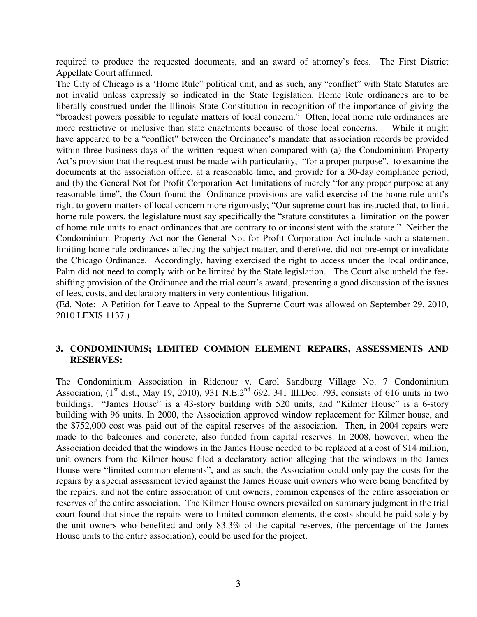required to produce the requested documents, and an award of attorney's fees. The First District Appellate Court affirmed.

The City of Chicago is a 'Home Rule" political unit, and as such, any "conflict" with State Statutes are not invalid unless expressly so indicated in the State legislation. Home Rule ordinances are to be liberally construed under the Illinois State Constitution in recognition of the importance of giving the "broadest powers possible to regulate matters of local concern." Often, local home rule ordinances are more restrictive or inclusive than state enactments because of those local concerns. While it might have appeared to be a "conflict" between the Ordinance's mandate that association records be provided within three business days of the written request when compared with (a) the Condominium Property Act's provision that the request must be made with particularity, "for a proper purpose", to examine the documents at the association office, at a reasonable time, and provide for a 30-day compliance period, and (b) the General Not for Profit Corporation Act limitations of merely "for any proper purpose at any reasonable time", the Court found the Ordinance provisions are valid exercise of the home rule unit's right to govern matters of local concern more rigorously; "Our supreme court has instructed that, to limit home rule powers, the legislature must say specifically the "statute constitutes a limitation on the power of home rule units to enact ordinances that are contrary to or inconsistent with the statute." Neither the Condominium Property Act nor the General Not for Profit Corporation Act include such a statement limiting home rule ordinances affecting the subject matter, and therefore, did not pre-empt or invalidate the Chicago Ordinance. Accordingly, having exercised the right to access under the local ordinance, Palm did not need to comply with or be limited by the State legislation. The Court also upheld the feeshifting provision of the Ordinance and the trial court's award, presenting a good discussion of the issues of fees, costs, and declaratory matters in very contentious litigation.

(Ed. Note: A Petition for Leave to Appeal to the Supreme Court was allowed on September 29, 2010, 2010 LEXIS 1137.)

## **3. CONDOMINIUMS; LIMITED COMMON ELEMENT REPAIRS, ASSESSMENTS AND RESERVES:**

The Condominium Association in Ridenour v. Carol Sandburg Village No. 7 Condominium Association,  $(1^{\text{st}}$  dist., May 19, 2010), 931 N.E.2<sup>nd</sup> 692, 341 Ill.Dec. 793, consists of 616 units in two buildings. "James House" is a 43-story building with 520 units, and "Kilmer House" is a 6-story building with 96 units. In 2000, the Association approved window replacement for Kilmer house, and the \$752,000 cost was paid out of the capital reserves of the association. Then, in 2004 repairs were made to the balconies and concrete, also funded from capital reserves. In 2008, however, when the Association decided that the windows in the James House needed to be replaced at a cost of \$14 million, unit owners from the Kilmer house filed a declaratory action alleging that the windows in the James House were "limited common elements", and as such, the Association could only pay the costs for the repairs by a special assessment levied against the James House unit owners who were being benefited by the repairs, and not the entire association of unit owners, common expenses of the entire association or reserves of the entire association. The Kilmer House owners prevailed on summary judgment in the trial court found that since the repairs were to limited common elements, the costs should be paid solely by the unit owners who benefited and only 83.3% of the capital reserves, (the percentage of the James House units to the entire association), could be used for the project.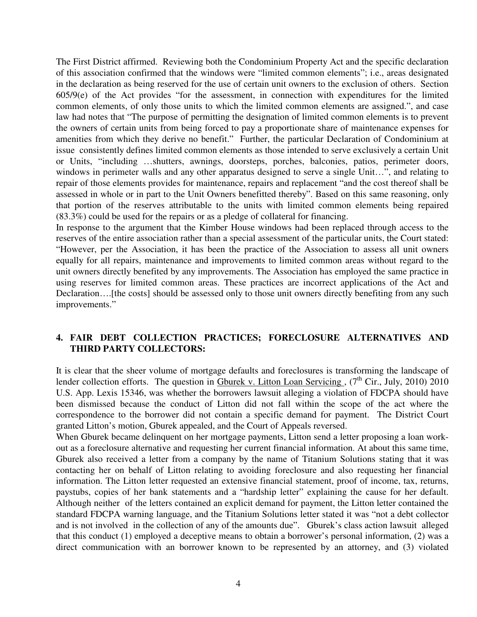The First District affirmed. Reviewing both the Condominium Property Act and the specific declaration of this association confirmed that the windows were "limited common elements"; i.e., areas designated in the declaration as being reserved for the use of certain unit owners to the exclusion of others. Section 605/9(e) of the Act provides "for the assessment, in connection with expenditures for the limited common elements, of only those units to which the limited common elements are assigned.", and case law had notes that "The purpose of permitting the designation of limited common elements is to prevent the owners of certain units from being forced to pay a proportionate share of maintenance expenses for amenities from which they derive no benefit." Further, the particular Declaration of Condominium at issue consistently defines limited common elements as those intended to serve exclusively a certain Unit or Units, "including …shutters, awnings, doorsteps, porches, balconies, patios, perimeter doors, windows in perimeter walls and any other apparatus designed to serve a single Unit…", and relating to repair of those elements provides for maintenance, repairs and replacement "and the cost thereof shall be assessed in whole or in part to the Unit Owners benefitted thereby". Based on this same reasoning, only that portion of the reserves attributable to the units with limited common elements being repaired (83.3%) could be used for the repairs or as a pledge of collateral for financing.

In response to the argument that the Kimber House windows had been replaced through access to the reserves of the entire association rather than a special assessment of the particular units, the Court stated: "However, per the Association, it has been the practice of the Association to assess all unit owners equally for all repairs, maintenance and improvements to limited common areas without regard to the unit owners directly benefited by any improvements. The Association has employed the same practice in using reserves for limited common areas. These practices are incorrect applications of the Act and Declaration….[the costs] should be assessed only to those unit owners directly benefiting from any such improvements."

# **4. FAIR DEBT COLLECTION PRACTICES; FORECLOSURE ALTERNATIVES AND THIRD PARTY COLLECTORS:**

It is clear that the sheer volume of mortgage defaults and foreclosures is transforming the landscape of lender collection efforts. The question in  $\frac{\text{Sburek v. Litton Loan Service}}{\text{Sbervicing}}$ , (7<sup>th</sup> Cir., July, 2010) 2010 U.S. App. Lexis 15346, was whether the borrowers lawsuit alleging a violation of FDCPA should have been dismissed because the conduct of Litton did not fall within the scope of the act where the correspondence to the borrower did not contain a specific demand for payment. The District Court granted Litton's motion, Gburek appealed, and the Court of Appeals reversed.

When Gburek became delinquent on her mortgage payments, Litton send a letter proposing a loan workout as a foreclosure alternative and requesting her current financial information. At about this same time, Gburek also received a letter from a company by the name of Titanium Solutions stating that it was contacting her on behalf of Litton relating to avoiding foreclosure and also requesting her financial information. The Litton letter requested an extensive financial statement, proof of income, tax, returns, paystubs, copies of her bank statements and a "hardship letter" explaining the cause for her default. Although neither of the letters contained an explicit demand for payment, the Litton letter contained the standard FDCPA warning language, and the Titanium Solutions letter stated it was "not a debt collector and is not involved in the collection of any of the amounts due". Gburek's class action lawsuit alleged that this conduct (1) employed a deceptive means to obtain a borrower's personal information, (2) was a direct communication with an borrower known to be represented by an attorney, and (3) violated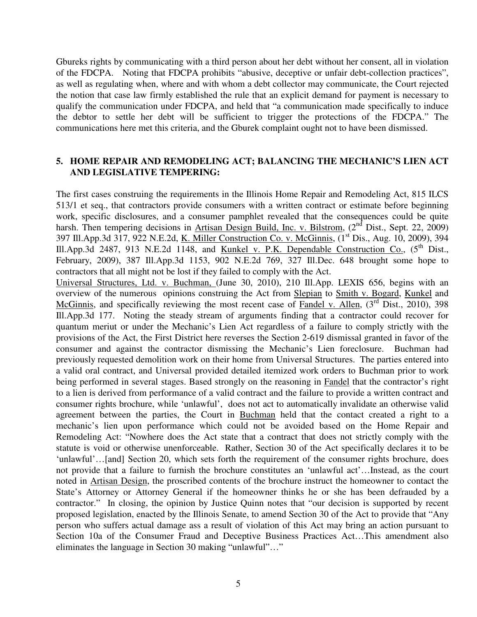Gbureks rights by communicating with a third person about her debt without her consent, all in violation of the FDCPA. Noting that FDCPA prohibits "abusive, deceptive or unfair debt-collection practices", as well as regulating when, where and with whom a debt collector may communicate, the Court rejected the notion that case law firmly established the rule that an explicit demand for payment is necessary to qualify the communication under FDCPA, and held that "a communication made specifically to induce the debtor to settle her debt will be sufficient to trigger the protections of the FDCPA." The communications here met this criteria, and the Gburek complaint ought not to have been dismissed.

## **5. HOME REPAIR AND REMODELING ACT; BALANCING THE MECHANIC'S LIEN ACT AND LEGISLATIVE TEMPERING:**

The first cases construing the requirements in the Illinois Home Repair and Remodeling Act, 815 ILCS 513/1 et seq., that contractors provide consumers with a written contract or estimate before beginning work, specific disclosures, and a consumer pamphlet revealed that the consequences could be quite harsh. Then tempering decisions in Artisan Design Build, Inc. v. Bilstrom, (2<sup>nd</sup> Dist., Sept. 22, 2009) 397 Ill.App.3d 317, 922 N.E.2d, K. Miller Construction Co. v. McGinnis, (1<sup>st</sup> Dis., Aug. 10, 2009), 394 Ill.App.3d 2487, 913 N.E.2d 1148, and Kunkel v. P.K. Dependable Construction Co.,  $(5^{th})$  Dist., February, 2009), 387 Ill.App.3d 1153, 902 N.E.2d 769, 327 Ill.Dec. 648 brought some hope to contractors that all might not be lost if they failed to comply with the Act.

Universal Structures, Ltd. v. Buchman, (June 30, 2010), 210 Ill.App. LEXIS 656, begins with an overview of the numerous opinions construing the Act from Slepian to Smith v. Bogard, Kunkel and McGinnis, and specifically reviewing the most recent case of Fandel v. Allen, (3<sup>rd</sup> Dist., 2010), 398 Ill.App.3d 177. Noting the steady stream of arguments finding that a contractor could recover for quantum meriut or under the Mechanic's Lien Act regardless of a failure to comply strictly with the provisions of the Act, the First District here reverses the Section 2-619 dismissal granted in favor of the consumer and against the contractor dismissing the Mechanic's Lien foreclosure. Buchman had previously requested demolition work on their home from Universal Structures. The parties entered into a valid oral contract, and Universal provided detailed itemized work orders to Buchman prior to work being performed in several stages. Based strongly on the reasoning in Fandel that the contractor's right to a lien is derived from performance of a valid contract and the failure to provide a written contract and consumer rights brochure, while 'unlawful', does not act to automatically invalidate an otherwise valid agreement between the parties, the Court in Buchman held that the contact created a right to a mechanic's lien upon performance which could not be avoided based on the Home Repair and Remodeling Act: "Nowhere does the Act state that a contract that does not strictly comply with the statute is void or otherwise unenforceable. Rather, Section 30 of the Act specifically declares it to be 'unlawful'…[and] Section 20, which sets forth the requirement of the consumer rights brochure, does not provide that a failure to furnish the brochure constitutes an 'unlawful act'…Instead, as the court noted in Artisan Design, the proscribed contents of the brochure instruct the homeowner to contact the State's Attorney or Attorney General if the homeowner thinks he or she has been defrauded by a contractor." In closing, the opinion by Justice Quinn notes that "our decision is supported by recent proposed legislation, enacted by the Illinois Senate, to amend Section 30 of the Act to provide that "Any person who suffers actual damage ass a result of violation of this Act may bring an action pursuant to Section 10a of the Consumer Fraud and Deceptive Business Practices Act…This amendment also eliminates the language in Section 30 making "unlawful"…"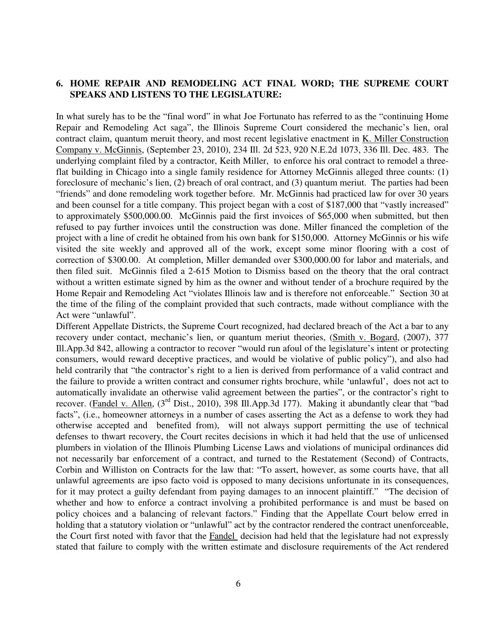### **6. HOME REPAIR AND REMODELING ACT FINAL WORD; THE SUPREME COURT SPEAKS AND LISTENS TO THE LEGISLATURE:**

In what surely has to be the "final word" in what Joe Fortunato has referred to as the "continuing Home Repair and Remodeling Act saga", the Illinois Supreme Court considered the mechanic's lien, oral contract claim, quantum meruit theory, and most recent legislative enactment in K. Miller Construction Company v. McGinnis, (September 23, 2010), 234 Ill. 2d 523, 920 N.E.2d 1073, 336 Ill. Dec. 483. The underlying complaint filed by a contractor, Keith Miller, to enforce his oral contract to remodel a threeflat building in Chicago into a single family residence for Attorney McGinnis alleged three counts: (1) foreclosure of mechanic's lien, (2) breach of oral contract, and (3) quantum meriut. The parties had been "friends" and done remodeling work together before. Mr. McGinnis had practiced law for over 30 years and been counsel for a title company. This project began with a cost of \$187,000 that "vastly increased" to approximately \$500,000.00. McGinnis paid the first invoices of \$65,000 when submitted, but then refused to pay further invoices until the construction was done. Miller financed the completion of the project with a line of credit he obtained from his own bank for \$150,000. Attorney McGinnis or his wife visited the site weekly and approved all of the work, except some minor flooring with a cost of correction of \$300.00. At completion, Miller demanded over \$300,000.00 for labor and materials, and then filed suit. McGinnis filed a 2-615 Motion to Dismiss based on the theory that the oral contract without a written estimate signed by him as the owner and without tender of a brochure required by the Home Repair and Remodeling Act "violates Illinois law and is therefore not enforceable." Section 30 at the time of the filing of the complaint provided that such contracts, made without compliance with the Act were "unlawful".

Different Appellate Districts, the Supreme Court recognized, had declared breach of the Act a bar to any recovery under contact, mechanic's lien, or quantum meriut theories, (Smith v. Bogard, (2007), 377 Ill.App.3d 842, allowing a contractor to recover "would run afoul of the legislature's intent or protecting consumers, would reward deceptive practices, and would be violative of public policy"), and also had held contrarily that "the contractor's right to a lien is derived from performance of a valid contract and the failure to provide a written contract and consumer rights brochure, while 'unlawful', does not act to automatically invalidate an otherwise valid agreement between the parties", or the contractor's right to recover. (Fandel v. Allen, (3<sup>rd</sup> Dist., 2010), 398 Ill.App.3d 177). Making it abundantly clear that "bad facts", (i.e., homeowner attorneys in a number of cases asserting the Act as a defense to work they had otherwise accepted and benefited from), will not always support permitting the use of technical defenses to thwart recovery, the Court recites decisions in which it had held that the use of unlicensed plumbers in violation of the Illinois Plumbing License Laws and violations of municipal ordinances did not necessarily bar enforcement of a contract, and turned to the Restatement (Second) of Contracts, Corbin and Williston on Contracts for the law that: "To assert, however, as some courts have, that all unlawful agreements are ipso facto void is opposed to many decisions unfortunate in its consequences, for it may protect a guilty defendant from paying damages to an innocent plaintiff." "The decision of whether and how to enforce a contract involving a prohibited performance is and must be based on policy choices and a balancing of relevant factors." Finding that the Appellate Court below erred in holding that a statutory violation or "unlawful" act by the contractor rendered the contract unenforceable, the Court first noted with favor that the Fandel decision had held that the legislature had not expressly stated that failure to comply with the written estimate and disclosure requirements of the Act rendered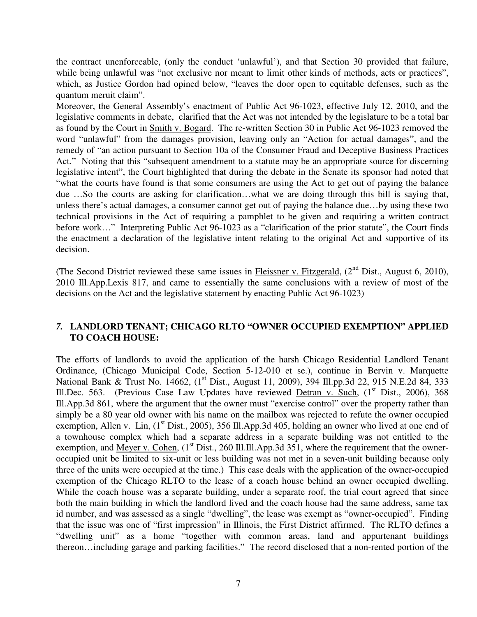the contract unenforceable, (only the conduct 'unlawful'), and that Section 30 provided that failure, while being unlawful was "not exclusive nor meant to limit other kinds of methods, acts or practices", which, as Justice Gordon had opined below, "leaves the door open to equitable defenses, such as the quantum meruit claim".

Moreover, the General Assembly's enactment of Public Act 96-1023, effective July 12, 2010, and the legislative comments in debate, clarified that the Act was not intended by the legislature to be a total bar as found by the Court in Smith v. Bogard. The re-written Section 30 in Public Act 96-1023 removed the word "unlawful" from the damages provision, leaving only an "Action for actual damages", and the remedy of "an action pursuant to Section 10a of the Consumer Fraud and Deceptive Business Practices Act." Noting that this "subsequent amendment to a statute may be an appropriate source for discerning legislative intent", the Court highlighted that during the debate in the Senate its sponsor had noted that "what the courts have found is that some consumers are using the Act to get out of paying the balance due …So the courts are asking for clarification…what we are doing through this bill is saying that, unless there's actual damages, a consumer cannot get out of paying the balance due…by using these two technical provisions in the Act of requiring a pamphlet to be given and requiring a written contract before work…" Interpreting Public Act 96-1023 as a "clarification of the prior statute", the Court finds the enactment a declaration of the legislative intent relating to the original Act and supportive of its decision.

(The Second District reviewed these same issues in Fleissner v. Fitzgerald,  $(2<sup>nd</sup> Dist.$ , August 6, 2010), 2010 Ill.App.Lexis 817, and came to essentially the same conclusions with a review of most of the decisions on the Act and the legislative statement by enacting Public Act 96-1023)

## *7.* **LANDLORD TENANT; CHICAGO RLTO "OWNER OCCUPIED EXEMPTION" APPLIED TO COACH HOUSE:**

The efforts of landlords to avoid the application of the harsh Chicago Residential Landlord Tenant Ordinance, (Chicago Municipal Code, Section 5-12-010 et se.), continue in Bervin v. Marquette National Bank & Trust No. 14662, (1<sup>st</sup> Dist., August 11, 2009), 394 Ill.pp.3d 22, 915 N.E.2d 84, 333 Ill.Dec. 563. (Previous Case Law Updates have reviewed Detran v. Such,  $(1<sup>st</sup> Dist., 2006), 368$ Ill.App.3d 861, where the argument that the owner must "exercise control" over the property rather than simply be a 80 year old owner with his name on the mailbox was rejected to refute the owner occupied exemption, Allen v. Lin,  $(1<sup>st</sup> Dist., 2005), 356 Ill. App.3d 405, holding an owner who lived at one end of$ a townhouse complex which had a separate address in a separate building was not entitled to the exemption, and Meyer v. Cohen,  $(1<sup>st</sup> Dist., 260$  Ill.Ill.App.3d 351, where the requirement that the owneroccupied unit be limited to six-unit or less building was not met in a seven-unit building because only three of the units were occupied at the time.) This case deals with the application of the owner-occupied exemption of the Chicago RLTO to the lease of a coach house behind an owner occupied dwelling. While the coach house was a separate building, under a separate roof, the trial court agreed that since both the main building in which the landlord lived and the coach house had the same address, same tax id number, and was assessed as a single "dwelling", the lease was exempt as "owner-occupied". Finding that the issue was one of "first impression" in Illinois, the First District affirmed. The RLTO defines a "dwelling unit" as a home "together with common areas, land and appurtenant buildings thereon…including garage and parking facilities." The record disclosed that a non-rented portion of the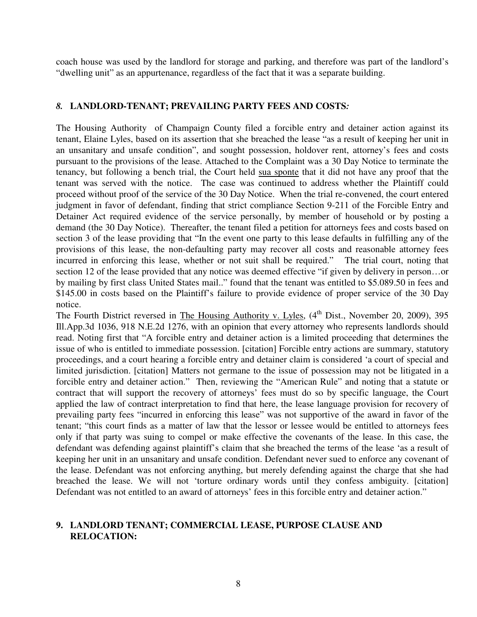coach house was used by the landlord for storage and parking, and therefore was part of the landlord's "dwelling unit" as an appurtenance, regardless of the fact that it was a separate building.

## *8.* **LANDLORD-TENANT; PREVAILING PARTY FEES AND COSTS***:*

The Housing Authority of Champaign County filed a forcible entry and detainer action against its tenant, Elaine Lyles, based on its assertion that she breached the lease "as a result of keeping her unit in an unsanitary and unsafe condition", and sought possession, holdover rent, attorney's fees and costs pursuant to the provisions of the lease. Attached to the Complaint was a 30 Day Notice to terminate the tenancy, but following a bench trial, the Court held sua sponte that it did not have any proof that the tenant was served with the notice. The case was continued to address whether the Plaintiff could proceed without proof of the service of the 30 Day Notice. When the trial re-convened, the court entered judgment in favor of defendant, finding that strict compliance Section 9-211 of the Forcible Entry and Detainer Act required evidence of the service personally, by member of household or by posting a demand (the 30 Day Notice). Thereafter, the tenant filed a petition for attorneys fees and costs based on section 3 of the lease providing that "In the event one party to this lease defaults in fulfilling any of the provisions of this lease, the non-defaulting party may recover all costs and reasonable attorney fees incurred in enforcing this lease, whether or not suit shall be required." The trial court, noting that section 12 of the lease provided that any notice was deemed effective "if given by delivery in person…or by mailing by first class United States mail.." found that the tenant was entitled to \$5.089.50 in fees and \$145.00 in costs based on the Plaintiff's failure to provide evidence of proper service of the 30 Day notice.

The Fourth District reversed in The Housing Authority v. Lyles,  $(4^{th}$  Dist., November 20, 2009), 395 Ill.App.3d 1036, 918 N.E.2d 1276, with an opinion that every attorney who represents landlords should read. Noting first that "A forcible entry and detainer action is a limited proceeding that determines the issue of who is entitled to immediate possession. [citation] Forcible entry actions are summary, statutory proceedings, and a court hearing a forcible entry and detainer claim is considered 'a court of special and limited jurisdiction. [citation] Matters not germane to the issue of possession may not be litigated in a forcible entry and detainer action." Then, reviewing the "American Rule" and noting that a statute or contract that will support the recovery of attorneys' fees must do so by specific language, the Court applied the law of contract interpretation to find that here, the lease language provision for recovery of prevailing party fees "incurred in enforcing this lease" was not supportive of the award in favor of the tenant; "this court finds as a matter of law that the lessor or lessee would be entitled to attorneys fees only if that party was suing to compel or make effective the covenants of the lease. In this case, the defendant was defending against plaintiff's claim that she breached the terms of the lease 'as a result of keeping her unit in an unsanitary and unsafe condition. Defendant never sued to enforce any covenant of the lease. Defendant was not enforcing anything, but merely defending against the charge that she had breached the lease. We will not 'torture ordinary words until they confess ambiguity. [citation] Defendant was not entitled to an award of attorneys' fees in this forcible entry and detainer action."

## **9. LANDLORD TENANT; COMMERCIAL LEASE, PURPOSE CLAUSE AND RELOCATION:**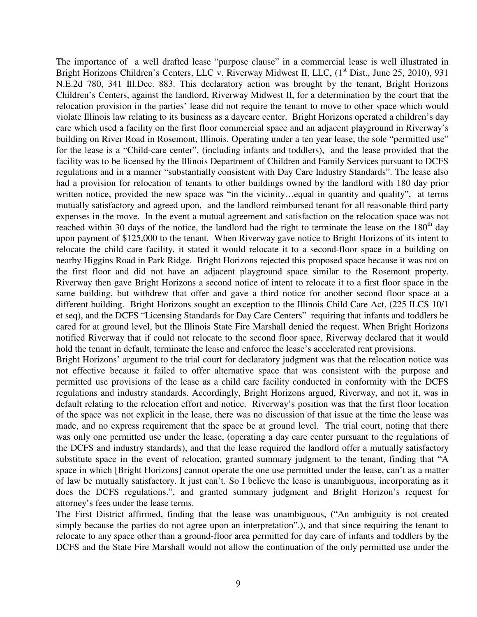The importance of a well drafted lease "purpose clause" in a commercial lease is well illustrated in Bright Horizons Children's Centers, LLC v. Riverway Midwest II, LLC, (1<sup>st</sup> Dist., June 25, 2010), 931 N.E.2d 780, 341 Ill.Dec. 883. This declaratory action was brought by the tenant, Bright Horizons Children's Centers, against the landlord, Riverway Midwest II, for a determination by the court that the relocation provision in the parties' lease did not require the tenant to move to other space which would violate Illinois law relating to its business as a daycare center. Bright Horizons operated a children's day care which used a facility on the first floor commercial space and an adjacent playground in Riverway's building on River Road in Rosemont, Illinois. Operating under a ten year lease, the sole "permitted use" for the lease is a "Child-care center", (including infants and toddlers), and the lease provided that the facility was to be licensed by the Illinois Department of Children and Family Services pursuant to DCFS regulations and in a manner "substantially consistent with Day Care Industry Standards". The lease also had a provision for relocation of tenants to other buildings owned by the landlord with 180 day prior written notice, provided the new space was "in the vicinity... equal in quantity and quality", at terms mutually satisfactory and agreed upon, and the landlord reimbursed tenant for all reasonable third party expenses in the move. In the event a mutual agreement and satisfaction on the relocation space was not reached within 30 days of the notice, the landlord had the right to terminate the lease on the  $180<sup>th</sup>$  day upon payment of \$125,000 to the tenant. When Riverway gave notice to Bright Horizons of its intent to relocate the child care facility, it stated it would relocate it to a second-floor space in a building on nearby Higgins Road in Park Ridge. Bright Horizons rejected this proposed space because it was not on the first floor and did not have an adjacent playground space similar to the Rosemont property. Riverway then gave Bright Horizons a second notice of intent to relocate it to a first floor space in the same building, but withdrew that offer and gave a third notice for another second floor space at a different building. Bright Horizons sought an exception to the Illinois Child Care Act, (225 ILCS 10/1 et seq), and the DCFS "Licensing Standards for Day Care Centers" requiring that infants and toddlers be cared for at ground level, but the Illinois State Fire Marshall denied the request. When Bright Horizons notified Riverway that if could not relocate to the second floor space, Riverway declared that it would hold the tenant in default, terminate the lease and enforce the lease's accelerated rent provisions.

Bright Horizons' argument to the trial court for declaratory judgment was that the relocation notice was not effective because it failed to offer alternative space that was consistent with the purpose and permitted use provisions of the lease as a child care facility conducted in conformity with the DCFS regulations and industry standards. Accordingly, Bright Horizons argued, Riverway, and not it, was in default relating to the relocation effort and notice. Riverway's position was that the first floor location of the space was not explicit in the lease, there was no discussion of that issue at the time the lease was made, and no express requirement that the space be at ground level. The trial court, noting that there was only one permitted use under the lease, (operating a day care center pursuant to the regulations of the DCFS and industry standards), and that the lease required the landlord offer a mutually satisfactory substitute space in the event of relocation, granted summary judgment to the tenant, finding that "A space in which [Bright Horizons] cannot operate the one use permitted under the lease, can't as a matter of law be mutually satisfactory. It just can't. So I believe the lease is unambiguous, incorporating as it does the DCFS regulations.", and granted summary judgment and Bright Horizon's request for attorney's fees under the lease terms.

The First District affirmed, finding that the lease was unambiguous, ("An ambiguity is not created simply because the parties do not agree upon an interpretation".), and that since requiring the tenant to relocate to any space other than a ground-floor area permitted for day care of infants and toddlers by the DCFS and the State Fire Marshall would not allow the continuation of the only permitted use under the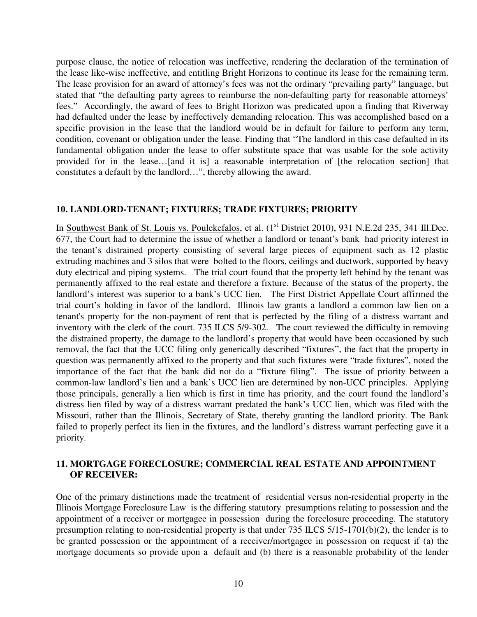purpose clause, the notice of relocation was ineffective, rendering the declaration of the termination of the lease like-wise ineffective, and entitling Bright Horizons to continue its lease for the remaining term. The lease provision for an award of attorney's fees was not the ordinary "prevailing party" language, but stated that "the defaulting party agrees to reimburse the non-defaulting party for reasonable attorneys' fees." Accordingly, the award of fees to Bright Horizon was predicated upon a finding that Riverway had defaulted under the lease by ineffectively demanding relocation. This was accomplished based on a specific provision in the lease that the landlord would be in default for failure to perform any term, condition, covenant or obligation under the lease. Finding that "The landlord in this case defaulted in its fundamental obligation under the lease to offer substitute space that was usable for the sole activity provided for in the lease…[and it is] a reasonable interpretation of [the relocation section] that constitutes a default by the landlord…", thereby allowing the award.

#### **10. LANDLORD-TENANT; FIXTURES; TRADE FIXTURES; PRIORITY**

In Southwest Bank of St. Louis vs. Poulekefalos, et al. (1<sup>st</sup> District 2010), 931 N.E.2d 235, 341 Ill.Dec. 677, the Court had to determine the issue of whether a landlord or tenant's bank had priority interest in the tenant's distrained property consisting of several large pieces of equipment such as 12 plastic extruding machines and 3 silos that were bolted to the floors, ceilings and ductwork, supported by heavy duty electrical and piping systems. The trial court found that the property left behind by the tenant was permanently affixed to the real estate and therefore a fixture. Because of the status of the property, the landlord's interest was superior to a bank's UCC lien. The First District Appellate Court affirmed the trial court's holding in favor of the landlord. Illinois law grants a landlord a common law lien on a tenant's property for the non-payment of rent that is perfected by the filing of a distress warrant and inventory with the clerk of the court. 735 ILCS 5/9-302. The court reviewed the difficulty in removing the distrained property, the damage to the landlord's property that would have been occasioned by such removal, the fact that the UCC filing only generically described "fixtures", the fact that the property in question was permanently affixed to the property and that such fixtures were "trade fixtures", noted the importance of the fact that the bank did not do a "fixture filing". The issue of priority between a common-law landlord's lien and a bank's UCC lien are determined by non-UCC principles. Applying those principals, generally a lien which is first in time has priority, and the court found the landlord's distress lien filed by way of a distress warrant predated the bank's UCC lien, which was filed with the Missouri, rather than the Illinois, Secretary of State, thereby granting the landlord priority. The Bank failed to properly perfect its lien in the fixtures, and the landlord's distress warrant perfecting gave it a priority.

## **11. MORTGAGE FORECLOSURE; COMMERCIAL REAL ESTATE AND APPOINTMENT OF RECEIVER:**

One of the primary distinctions made the treatment of residential versus non-residential property in the Illinois Mortgage Foreclosure Law is the differing statutory presumptions relating to possession and the appointment of a receiver or mortgagee in possession during the foreclosure proceeding. The statutory presumption relating to non-residential property is that under 735 ILCS 5/15-1701(b)(2), the lender is to be granted possession or the appointment of a receiver/mortgagee in possession on request if (a) the mortgage documents so provide upon a default and (b) there is a reasonable probability of the lender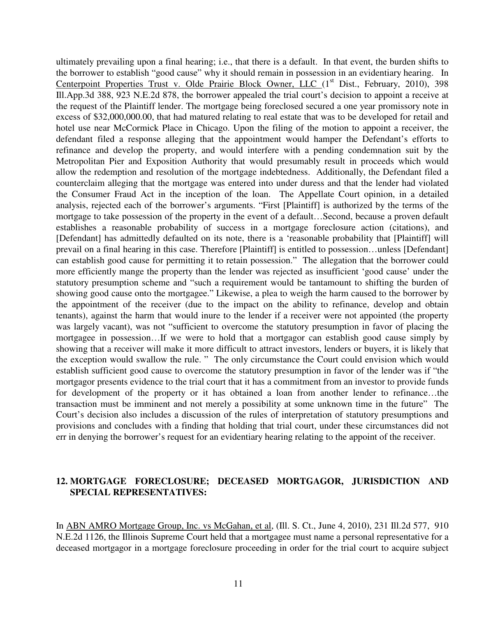ultimately prevailing upon a final hearing; i.e., that there is a default. In that event, the burden shifts to the borrower to establish "good cause" why it should remain in possession in an evidentiary hearing. In Centerpoint Properties Trust v. Olde Prairie Block Owner, LLC  $(1<sup>st</sup> Dist., February, 2010), 398$ Ill.App.3d 388, 923 N.E.2d 878, the borrower appealed the trial court's decision to appoint a receive at the request of the Plaintiff lender. The mortgage being foreclosed secured a one year promissory note in excess of \$32,000,000.00, that had matured relating to real estate that was to be developed for retail and hotel use near McCormick Place in Chicago. Upon the filing of the motion to appoint a receiver, the defendant filed a response alleging that the appointment would hamper the Defendant's efforts to refinance and develop the property, and would interfere with a pending condemnation suit by the Metropolitan Pier and Exposition Authority that would presumably result in proceeds which would allow the redemption and resolution of the mortgage indebtedness. Additionally, the Defendant filed a counterclaim alleging that the mortgage was entered into under duress and that the lender had violated the Consumer Fraud Act in the inception of the loan. The Appellate Court opinion, in a detailed analysis, rejected each of the borrower's arguments. "First [Plaintiff] is authorized by the terms of the mortgage to take possession of the property in the event of a default…Second, because a proven default establishes a reasonable probability of success in a mortgage foreclosure action (citations), and [Defendant] has admittedly defaulted on its note, there is a 'reasonable probability that [Plaintiff] will prevail on a final hearing in this case. Therefore [Plaintiff] is entitled to possession…unless [Defendant] can establish good cause for permitting it to retain possession." The allegation that the borrower could more efficiently mange the property than the lender was rejected as insufficient 'good cause' under the statutory presumption scheme and "such a requirement would be tantamount to shifting the burden of showing good cause onto the mortgagee." Likewise, a plea to weigh the harm caused to the borrower by the appointment of the receiver (due to the impact on the ability to refinance, develop and obtain tenants), against the harm that would inure to the lender if a receiver were not appointed (the property was largely vacant), was not "sufficient to overcome the statutory presumption in favor of placing the mortgagee in possession…If we were to hold that a mortgagor can establish good cause simply by showing that a receiver will make it more difficult to attract investors, lenders or buyers, it is likely that the exception would swallow the rule. " The only circumstance the Court could envision which would establish sufficient good cause to overcome the statutory presumption in favor of the lender was if "the mortgagor presents evidence to the trial court that it has a commitment from an investor to provide funds for development of the property or it has obtained a loan from another lender to refinance…the transaction must be imminent and not merely a possibility at some unknown time in the future" The Court's decision also includes a discussion of the rules of interpretation of statutory presumptions and provisions and concludes with a finding that holding that trial court, under these circumstances did not err in denying the borrower's request for an evidentiary hearing relating to the appoint of the receiver.

## **12. MORTGAGE FORECLOSURE; DECEASED MORTGAGOR, JURISDICTION AND SPECIAL REPRESENTATIVES:**

In ABN AMRO Mortgage Group, Inc. vs McGahan, et al, (Ill. S. Ct., June 4, 2010), 231 Ill.2d 577, 910 N.E.2d 1126, the Illinois Supreme Court held that a mortgagee must name a personal representative for a deceased mortgagor in a mortgage foreclosure proceeding in order for the trial court to acquire subject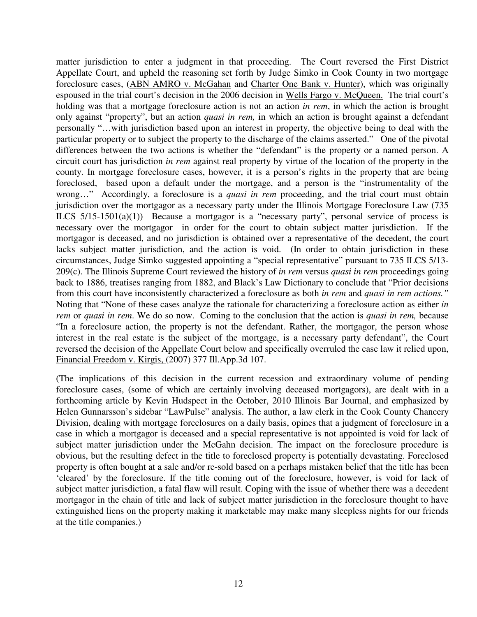matter jurisdiction to enter a judgment in that proceeding. The Court reversed the First District Appellate Court, and upheld the reasoning set forth by Judge Simko in Cook County in two mortgage foreclosure cases, (ABN AMRO v. McGahan and Charter One Bank v. Hunter), which was originally espoused in the trial court's decision in the 2006 decision in Wells Fargo v. McQueen. The trial court's holding was that a mortgage foreclosure action is not an action *in rem*, in which the action is brought only against "property", but an action *quasi in rem,* in which an action is brought against a defendant personally "…with jurisdiction based upon an interest in property, the objective being to deal with the particular property or to subject the property to the discharge of the claims asserted." One of the pivotal differences between the two actions is whether the "defendant" is the property or a named person. A circuit court has jurisdiction *in rem* against real property by virtue of the location of the property in the county. In mortgage foreclosure cases, however, it is a person's rights in the property that are being foreclosed, based upon a default under the mortgage, and a person is the "instrumentality of the wrong…" Accordingly, a foreclosure is a *quasi in rem* proceeding, and the trial court must obtain jurisdiction over the mortgagor as a necessary party under the Illinois Mortgage Foreclosure Law (735 ILCS 5/15-1501(a)(1)) Because a mortgagor is a "necessary party", personal service of process is necessary over the mortgagor in order for the court to obtain subject matter jurisdiction. If the mortgagor is deceased, and no jurisdiction is obtained over a representative of the decedent, the court lacks subject matter jurisdiction, and the action is void. (In order to obtain jurisdiction in these circumstances, Judge Simko suggested appointing a "special representative" pursuant to 735 ILCS 5/13- 209(c). The Illinois Supreme Court reviewed the history of *in rem* versus *quasi in rem* proceedings going back to 1886, treatises ranging from 1882, and Black's Law Dictionary to conclude that "Prior decisions from this court have inconsistently characterized a foreclosure as both *in rem* and *quasi in rem actions."* Noting that "None of these cases analyze the rationale for characterizing a foreclosure action as either *in rem* or *quasi in rem*. We do so now. Coming to the conclusion that the action is *quasi in rem,* because "In a foreclosure action, the property is not the defendant. Rather, the mortgagor, the person whose interest in the real estate is the subject of the mortgage, is a necessary party defendant", the Court reversed the decision of the Appellate Court below and specifically overruled the case law it relied upon, Financial Freedom v. Kirgis, (2007) 377 Ill.App.3d 107.

(The implications of this decision in the current recession and extraordinary volume of pending foreclosure cases, (some of which are certainly involving deceased mortgagors), are dealt with in a forthcoming article by Kevin Hudspect in the October, 2010 Illinois Bar Journal, and emphasized by Helen Gunnarsson's sidebar "LawPulse" analysis. The author, a law clerk in the Cook County Chancery Division, dealing with mortgage foreclosures on a daily basis, opines that a judgment of foreclosure in a case in which a mortgagor is deceased and a special representative is not appointed is void for lack of subject matter jurisdiction under the McGahn decision. The impact on the foreclosure procedure is obvious, but the resulting defect in the title to foreclosed property is potentially devastating. Foreclosed property is often bought at a sale and/or re-sold based on a perhaps mistaken belief that the title has been 'cleared' by the foreclosure. If the title coming out of the foreclosure, however, is void for lack of subject matter jurisdiction, a fatal flaw will result. Coping with the issue of whether there was a decedent mortgagor in the chain of title and lack of subject matter jurisdiction in the foreclosure thought to have extinguished liens on the property making it marketable may make many sleepless nights for our friends at the title companies.)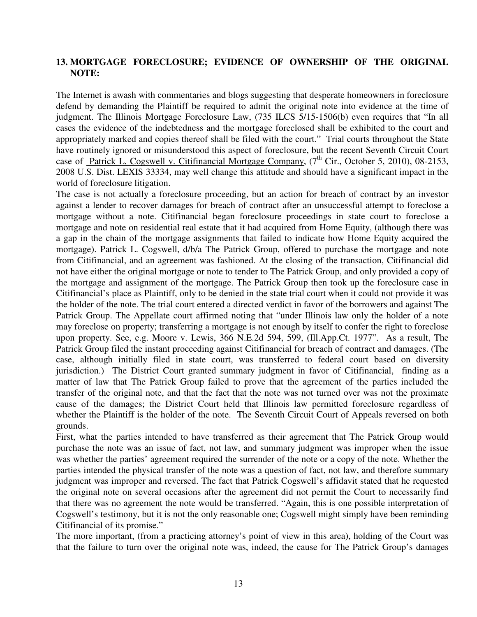# **13. MORTGAGE FORECLOSURE; EVIDENCE OF OWNERSHIP OF THE ORIGINAL NOTE:**

The Internet is awash with commentaries and blogs suggesting that desperate homeowners in foreclosure defend by demanding the Plaintiff be required to admit the original note into evidence at the time of judgment. The Illinois Mortgage Foreclosure Law, (735 ILCS 5/15-1506(b) even requires that "In all cases the evidence of the indebtedness and the mortgage foreclosed shall be exhibited to the court and appropriately marked and copies thereof shall be filed with the court." Trial courts throughout the State have routinely ignored or misunderstood this aspect of foreclosure, but the recent Seventh Circuit Court case of Patrick L. Cogswell v. Citifinancial Mortgage Company,  $(7<sup>th</sup>$  Cir., October 5, 2010), 08-2153, 2008 U.S. Dist. LEXIS 33334, may well change this attitude and should have a significant impact in the world of foreclosure litigation.

The case is not actually a foreclosure proceeding, but an action for breach of contract by an investor against a lender to recover damages for breach of contract after an unsuccessful attempt to foreclose a mortgage without a note. Citifinancial began foreclosure proceedings in state court to foreclose a mortgage and note on residential real estate that it had acquired from Home Equity, (although there was a gap in the chain of the mortgage assignments that failed to indicate how Home Equity acquired the mortgage). Patrick L. Cogswell, d/b/a The Patrick Group, offered to purchase the mortgage and note from Citifinancial, and an agreement was fashioned. At the closing of the transaction, Citifinancial did not have either the original mortgage or note to tender to The Patrick Group, and only provided a copy of the mortgage and assignment of the mortgage. The Patrick Group then took up the foreclosure case in Citifinancial's place as Plaintiff, only to be denied in the state trial court when it could not provide it was the holder of the note. The trial court entered a directed verdict in favor of the borrowers and against The Patrick Group. The Appellate court affirmed noting that "under Illinois law only the holder of a note may foreclose on property; transferring a mortgage is not enough by itself to confer the right to foreclose upon property. See, e.g. Moore v. Lewis, 366 N.E.2d 594, 599, (Ill.App.Ct. 1977". As a result, The Patrick Group filed the instant proceeding against Citifinancial for breach of contract and damages. (The case, although initially filed in state court, was transferred to federal court based on diversity jurisdiction.) The District Court granted summary judgment in favor of Citifinancial, finding as a matter of law that The Patrick Group failed to prove that the agreement of the parties included the transfer of the original note, and that the fact that the note was not turned over was not the proximate cause of the damages; the District Court held that Illinois law permitted foreclosure regardless of whether the Plaintiff is the holder of the note. The Seventh Circuit Court of Appeals reversed on both grounds.

First, what the parties intended to have transferred as their agreement that The Patrick Group would purchase the note was an issue of fact, not law, and summary judgment was improper when the issue was whether the parties' agreement required the surrender of the note or a copy of the note. Whether the parties intended the physical transfer of the note was a question of fact, not law, and therefore summary judgment was improper and reversed. The fact that Patrick Cogswell's affidavit stated that he requested the original note on several occasions after the agreement did not permit the Court to necessarily find that there was no agreement the note would be transferred. "Again, this is one possible interpretation of Cogswell's testimony, but it is not the only reasonable one; Cogswell might simply have been reminding Citifinancial of its promise."

The more important, (from a practicing attorney's point of view in this area), holding of the Court was that the failure to turn over the original note was, indeed, the cause for The Patrick Group's damages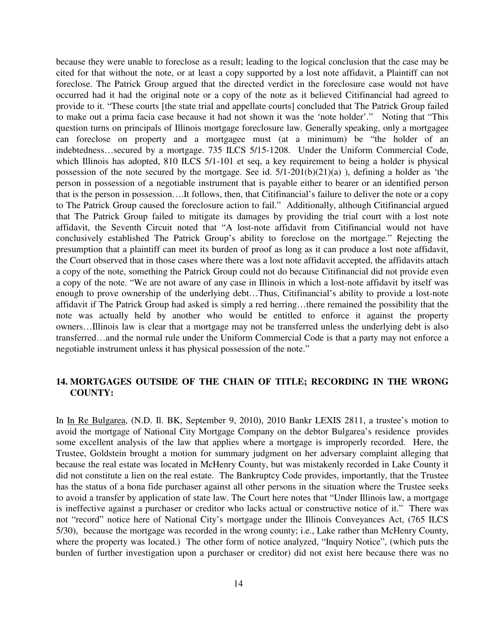because they were unable to foreclose as a result; leading to the logical conclusion that the case may be cited for that without the note, or at least a copy supported by a lost note affidavit, a Plaintiff can not foreclose. The Patrick Group argued that the directed verdict in the foreclosure case would not have occurred had it had the original note or a copy of the note as it believed Citifinancial had agreed to provide to it. "These courts [the state trial and appellate courts] concluded that The Patrick Group failed to make out a prima facia case because it had not shown it was the 'note holder'." Noting that "This question turns on principals of Illinois mortgage foreclosure law. Generally speaking, only a mortgagee can foreclose on property and a mortgagee must (at a minimum) be "the holder of an indebtedness…secured by a mortgage. 735 ILCS 5/15-1208. Under the Uniform Commercial Code, which Illinois has adopted, 810 ILCS 5/1-101 et seq, a key requirement to being a holder is physical possession of the note secured by the mortgage. See id. 5/1-201(b)(21)(a) ), defining a holder as 'the person in possession of a negotiable instrument that is payable either to bearer or an identified person that is the person in possession….It follows, then, that Citifinancial's failure to deliver the note or a copy to The Patrick Group caused the foreclosure action to fail." Additionally, although Citifinancial argued that The Patrick Group failed to mitigate its damages by providing the trial court with a lost note affidavit, the Seventh Circuit noted that "A lost-note affidavit from Citifinancial would not have conclusively established The Patrick Group's ability to foreclose on the mortgage." Rejecting the presumption that a plaintiff can meet its burden of proof as long as it can produce a lost note affidavit, the Court observed that in those cases where there was a lost note affidavit accepted, the affidavits attach a copy of the note, something the Patrick Group could not do because Citifinancial did not provide even a copy of the note. "We are not aware of any case in Illinois in which a lost-note affidavit by itself was enough to prove ownership of the underlying debt…Thus, Citifinancial's ability to provide a lost-note affidavit if The Patrick Group had asked is simply a red herring…there remained the possibility that the note was actually held by another who would be entitled to enforce it against the property owners…Illinois law is clear that a mortgage may not be transferred unless the underlying debt is also transferred…and the normal rule under the Uniform Commercial Code is that a party may not enforce a negotiable instrument unless it has physical possession of the note."

## **14. MORTGAGES OUTSIDE OF THE CHAIN OF TITLE; RECORDING IN THE WRONG COUNTY:**

In In Re Bulgarea, (N.D. Il. BK, September 9, 2010), 2010 Bankr LEXIS 2811, a trustee's motion to avoid the mortgage of National City Mortgage Company on the debtor Bulgarea's residence provides some excellent analysis of the law that applies where a mortgage is improperly recorded. Here, the Trustee, Goldstein brought a motion for summary judgment on her adversary complaint alleging that because the real estate was located in McHenry County, but was mistakenly recorded in Lake County it did not constitute a lien on the real estate. The Bankruptcy Code provides, importantly, that the Trustee has the status of a bona fide purchaser against all other persons in the situation where the Trustee seeks to avoid a transfer by application of state law. The Court here notes that "Under Illinois law, a mortgage is ineffective against a purchaser or creditor who lacks actual or constructive notice of it." There was not "record" notice here of National City's mortgage under the Illinois Conveyances Act, (765 ILCS 5/30), because the mortgage was recorded in the wrong county; i.e., Lake rather than McHenry County, where the property was located.) The other form of notice analyzed, "Inquiry Notice", (which puts the burden of further investigation upon a purchaser or creditor) did not exist here because there was no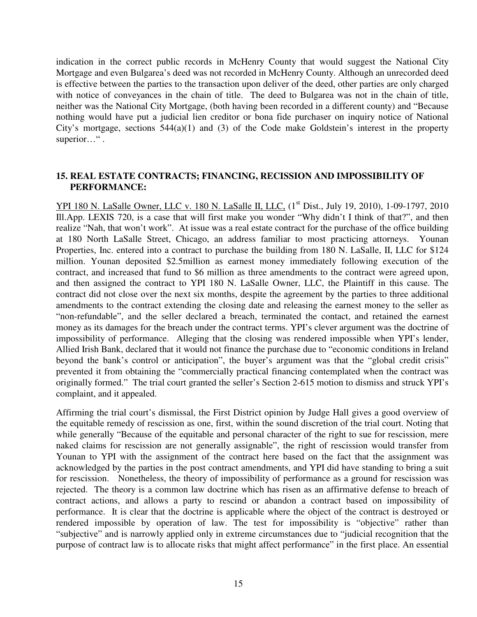indication in the correct public records in McHenry County that would suggest the National City Mortgage and even Bulgarea's deed was not recorded in McHenry County. Although an unrecorded deed is effective between the parties to the transaction upon deliver of the deed, other parties are only charged with notice of conveyances in the chain of title. The deed to Bulgarea was not in the chain of title, neither was the National City Mortgage, (both having been recorded in a different county) and "Because nothing would have put a judicial lien creditor or bona fide purchaser on inquiry notice of National City's mortgage, sections  $544(a)(1)$  and (3) of the Code make Goldstein's interest in the property superior…".

## **15. REAL ESTATE CONTRACTS; FINANCING, RECISSION AND IMPOSSIBILITY OF PERFORMANCE:**

YPI 180 N. LaSalle Owner, LLC v. 180 N. LaSalle II, LLC, (1<sup>st</sup> Dist., July 19, 2010), 1-09-1797, 2010 Ill.App. LEXIS 720, is a case that will first make you wonder "Why didn't I think of that?", and then realize "Nah, that won't work". At issue was a real estate contract for the purchase of the office building at 180 North LaSalle Street, Chicago, an address familiar to most practicing attorneys. Younan Properties, Inc. entered into a contract to purchase the building from 180 N. LaSalle, II, LLC for \$124 million. Younan deposited \$2.5million as earnest money immediately following execution of the contract, and increased that fund to \$6 million as three amendments to the contract were agreed upon, and then assigned the contract to YPI 180 N. LaSalle Owner, LLC, the Plaintiff in this cause. The contract did not close over the next six months, despite the agreement by the parties to three additional amendments to the contract extending the closing date and releasing the earnest money to the seller as "non-refundable", and the seller declared a breach, terminated the contact, and retained the earnest money as its damages for the breach under the contract terms. YPI's clever argument was the doctrine of impossibility of performance. Alleging that the closing was rendered impossible when YPI's lender, Allied Irish Bank, declared that it would not finance the purchase due to "economic conditions in Ireland beyond the bank's control or anticipation", the buyer's argument was that the "global credit crisis" prevented it from obtaining the "commercially practical financing contemplated when the contract was originally formed." The trial court granted the seller's Section 2-615 motion to dismiss and struck YPI's complaint, and it appealed.

Affirming the trial court's dismissal, the First District opinion by Judge Hall gives a good overview of the equitable remedy of rescission as one, first, within the sound discretion of the trial court. Noting that while generally "Because of the equitable and personal character of the right to sue for rescission, mere naked claims for rescission are not generally assignable", the right of rescission would transfer from Younan to YPI with the assignment of the contract here based on the fact that the assignment was acknowledged by the parties in the post contract amendments, and YPI did have standing to bring a suit for rescission. Nonetheless, the theory of impossibility of performance as a ground for rescission was rejected. The theory is a common law doctrine which has risen as an affirmative defense to breach of contract actions, and allows a party to rescind or abandon a contract based on impossibility of performance. It is clear that the doctrine is applicable where the object of the contract is destroyed or rendered impossible by operation of law. The test for impossibility is "objective" rather than "subjective" and is narrowly applied only in extreme circumstances due to "judicial recognition that the purpose of contract law is to allocate risks that might affect performance" in the first place. An essential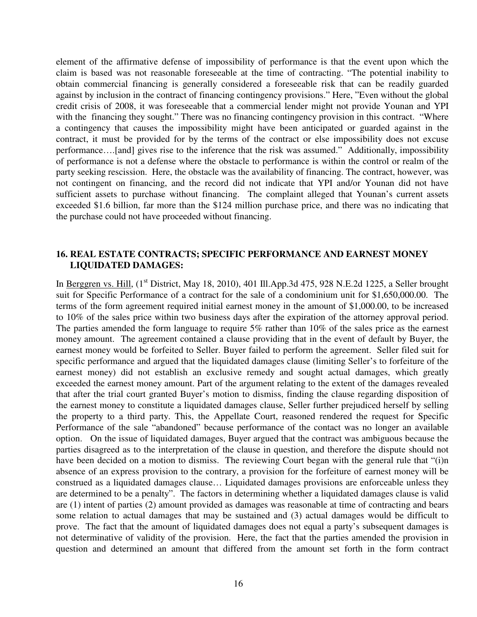element of the affirmative defense of impossibility of performance is that the event upon which the claim is based was not reasonable foreseeable at the time of contracting. "The potential inability to obtain commercial financing is generally considered a foreseeable risk that can be readily guarded against by inclusion in the contract of financing contingency provisions." Here, "Even without the global credit crisis of 2008, it was foreseeable that a commercial lender might not provide Younan and YPI with the financing they sought." There was no financing contingency provision in this contract. "Where a contingency that causes the impossibility might have been anticipated or guarded against in the contract, it must be provided for by the terms of the contract or else impossibility does not excuse performance….[and] gives rise to the inference that the risk was assumed." Additionally, impossibility of performance is not a defense where the obstacle to performance is within the control or realm of the party seeking rescission. Here, the obstacle was the availability of financing. The contract, however, was not contingent on financing, and the record did not indicate that YPI and/or Younan did not have sufficient assets to purchase without financing. The complaint alleged that Younan's current assets exceeded \$1.6 billion, far more than the \$124 million purchase price, and there was no indicating that the purchase could not have proceeded without financing.

## **16. REAL ESTATE CONTRACTS; SPECIFIC PERFORMANCE AND EARNEST MONEY LIQUIDATED DAMAGES:**

In Berggren vs. Hill, (1<sup>st</sup> District, May 18, 2010), 401 Ill.App.3d 475, 928 N.E.2d 1225, a Seller brought suit for Specific Performance of a contract for the sale of a condominium unit for \$1,650,000.00. The terms of the form agreement required initial earnest money in the amount of \$1,000.00, to be increased to 10% of the sales price within two business days after the expiration of the attorney approval period. The parties amended the form language to require 5% rather than 10% of the sales price as the earnest money amount. The agreement contained a clause providing that in the event of default by Buyer, the earnest money would be forfeited to Seller. Buyer failed to perform the agreement. Seller filed suit for specific performance and argued that the liquidated damages clause (limiting Seller's to forfeiture of the earnest money) did not establish an exclusive remedy and sought actual damages, which greatly exceeded the earnest money amount. Part of the argument relating to the extent of the damages revealed that after the trial court granted Buyer's motion to dismiss, finding the clause regarding disposition of the earnest money to constitute a liquidated damages clause, Seller further prejudiced herself by selling the property to a third party. This, the Appellate Court, reasoned rendered the request for Specific Performance of the sale "abandoned" because performance of the contact was no longer an available option. On the issue of liquidated damages, Buyer argued that the contract was ambiguous because the parties disagreed as to the interpretation of the clause in question, and therefore the dispute should not have been decided on a motion to dismiss. The reviewing Court began with the general rule that "(i)n absence of an express provision to the contrary, a provision for the forfeiture of earnest money will be construed as a liquidated damages clause… Liquidated damages provisions are enforceable unless they are determined to be a penalty". The factors in determining whether a liquidated damages clause is valid are (1) intent of parties (2) amount provided as damages was reasonable at time of contracting and bears some relation to actual damages that may be sustained and (3) actual damages would be difficult to prove. The fact that the amount of liquidated damages does not equal a party's subsequent damages is not determinative of validity of the provision. Here, the fact that the parties amended the provision in question and determined an amount that differed from the amount set forth in the form contract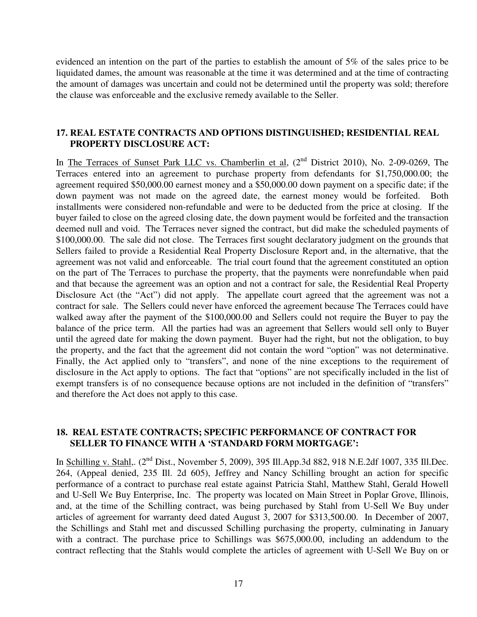evidenced an intention on the part of the parties to establish the amount of 5% of the sales price to be liquidated dames, the amount was reasonable at the time it was determined and at the time of contracting the amount of damages was uncertain and could not be determined until the property was sold; therefore the clause was enforceable and the exclusive remedy available to the Seller.

## **17. REAL ESTATE CONTRACTS AND OPTIONS DISTINGUISHED; RESIDENTIAL REAL PROPERTY DISCLOSURE ACT:**

In The Terraces of Sunset Park LLC vs. Chamberlin et al, (2<sup>nd</sup> District 2010), No. 2-09-0269, The Terraces entered into an agreement to purchase property from defendants for \$1,750,000.00; the agreement required \$50,000.00 earnest money and a \$50,000.00 down payment on a specific date; if the down payment was not made on the agreed date, the earnest money would be forfeited. Both installments were considered non-refundable and were to be deducted from the price at closing. If the buyer failed to close on the agreed closing date, the down payment would be forfeited and the transaction deemed null and void. The Terraces never signed the contract, but did make the scheduled payments of \$100,000.00. The sale did not close. The Terraces first sought declaratory judgment on the grounds that Sellers failed to provide a Residential Real Property Disclosure Report and, in the alternative, that the agreement was not valid and enforceable. The trial court found that the agreement constituted an option on the part of The Terraces to purchase the property, that the payments were nonrefundable when paid and that because the agreement was an option and not a contract for sale, the Residential Real Property Disclosure Act (the "Act") did not apply. The appellate court agreed that the agreement was not a contract for sale. The Sellers could never have enforced the agreement because The Terraces could have walked away after the payment of the \$100,000.00 and Sellers could not require the Buyer to pay the balance of the price term. All the parties had was an agreement that Sellers would sell only to Buyer until the agreed date for making the down payment. Buyer had the right, but not the obligation, to buy the property, and the fact that the agreement did not contain the word "option" was not determinative. Finally, the Act applied only to "transfers", and none of the nine exceptions to the requirement of disclosure in the Act apply to options. The fact that "options" are not specifically included in the list of exempt transfers is of no consequence because options are not included in the definition of "transfers" and therefore the Act does not apply to this case.

## **18. REAL ESTATE CONTRACTS; SPECIFIC PERFORMANCE OF CONTRACT FOR SELLER TO FINANCE WITH A 'STANDARD FORM MORTGAGE':**

In Schilling v. Stahl,. (2<sup>nd</sup> Dist., November 5, 2009), 395 Ill.App.3d 882, 918 N.E.2df 1007, 335 Ill.Dec. 264, (Appeal denied, 235 Ill. 2d 605), Jeffrey and Nancy Schilling brought an action for specific performance of a contract to purchase real estate against Patricia Stahl, Matthew Stahl, Gerald Howell and U-Sell We Buy Enterprise, Inc. The property was located on Main Street in Poplar Grove, Illinois, and, at the time of the Schilling contract, was being purchased by Stahl from U-Sell We Buy under articles of agreement for warranty deed dated August 3, 2007 for \$313,500.00. In December of 2007, the Schillings and Stahl met and discussed Schilling purchasing the property, culminating in January with a contract. The purchase price to Schillings was \$675,000.00, including an addendum to the contract reflecting that the Stahls would complete the articles of agreement with U-Sell We Buy on or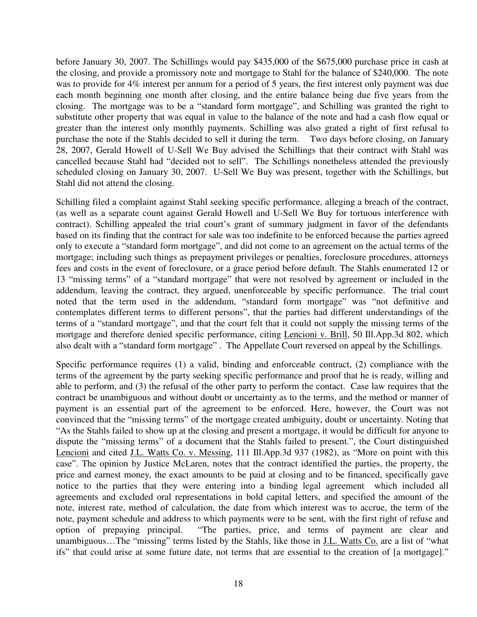before January 30, 2007. The Schillings would pay \$435,000 of the \$675,000 purchase price in cash at the closing, and provide a promissory note and mortgage to Stahl for the balance of \$240,000. The note was to provide for 4% interest per annum for a period of 5 years, the first interest only payment was due each month beginning one month after closing, and the entire balance being due five years from the closing. The mortgage was to be a "standard form mortgage", and Schilling was granted the right to substitute other property that was equal in value to the balance of the note and had a cash flow equal or greater than the interest only monthly payments. Schilling was also grated a right of first refusal to purchase the note if the Stahls decided to sell it during the term. Two days before closing, on January 28, 2007, Gerald Howell of U-Sell We Buy advised the Schillings that their contract with Stahl was cancelled because Stahl had "decided not to sell". The Schillings nonetheless attended the previously scheduled closing on January 30, 2007. U-Sell We Buy was present, together with the Schillings, but Stahl did not attend the closing.

Schilling filed a complaint against Stahl seeking specific performance, alleging a breach of the contract, (as well as a separate count against Gerald Howell and U-Sell We Buy for tortuous interference with contract). Schilling appealed the trial court's grant of summary judgment in favor of the defendants based on its finding that the contract for sale was too indefinite to be enforced because the parties agreed only to execute a "standard form mortgage", and did not come to an agreement on the actual terms of the mortgage; including such things as prepayment privileges or penalties, foreclosure procedures, attorneys fees and costs in the event of foreclosure, or a grace period before default. The Stahls enumerated 12 or 13 "missing terms" of a "standard mortgage" that were not resolved by agreement or included in the addendum, leaving the contract, they argued, unenforceable by specific performance. The trial court noted that the term used in the addendum, "standard form mortgage" was "not definitive and contemplates different terms to different persons", that the parties had different understandings of the terms of a "standard mortgage", and that the court felt that it could not supply the missing terms of the mortgage and therefore denied specific performance, citing Lencioni v. Brill, 50 Ill.App.3d 802, which also dealt with a "standard form mortgage" . The Appellate Court reversed on appeal by the Schillings.

Specific performance requires (1) a valid, binding and enforceable contract, (2) compliance with the terms of the agreement by the party seeking specific performance and proof that he is ready, willing and able to perform, and (3) the refusal of the other party to perform the contact. Case law requires that the contract be unambiguous and without doubt or uncertainty as to the terms, and the method or manner of payment is an essential part of the agreement to be enforced. Here, however, the Court was not convinced that the "missing terms" of the mortgage created ambiguity, doubt or uncertainty. Noting that "As the Stahls failed to show up at the closing and present a mortgage, it would be difficult for anyone to dispute the "missing terms" of a document that the Stahls failed to present.", the Court distinguished Lencioni and cited J.L. Watts Co. v. Messing, 111 Ill.App.3d 937 (1982), as "More on point with this case". The opinion by Justice McLaren, notes that the contract identified the parties, the property, the price and earnest money, the exact amounts to be paid at closing and to be financed, specifically gave notice to the parties that they were entering into a binding legal agreement which included all agreements and excluded oral representations in bold capital letters, and specified the amount of the note, interest rate, method of calculation, the date from which interest was to accrue, the term of the note, payment schedule and address to which payments were to be sent, with the first right of refuse and option of prepaying principal. "The parties, price, and terms of payment are clear and unambiguous…The "missing" terms listed by the Stahls, like those in J.L. Watts Co. are a list of "what ifs" that could arise at some future date, not terms that are essential to the creation of [a mortgage]."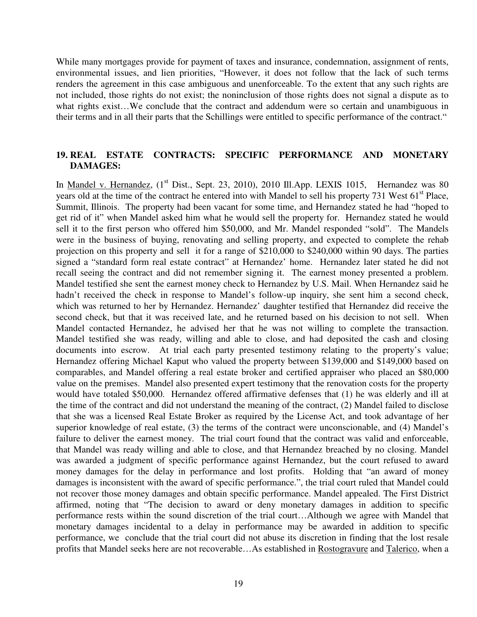While many mortgages provide for payment of taxes and insurance, condemnation, assignment of rents, environmental issues, and lien priorities, "However, it does not follow that the lack of such terms renders the agreement in this case ambiguous and unenforceable. To the extent that any such rights are not included, those rights do not exist; the noninclusion of those rights does not signal a dispute as to what rights exist…We conclude that the contract and addendum were so certain and unambiguous in their terms and in all their parts that the Schillings were entitled to specific performance of the contract."

## **19. REAL ESTATE CONTRACTS: SPECIFIC PERFORMANCE AND MONETARY DAMAGES:**

In Mandel v. Hernandez, (1<sup>st</sup> Dist., Sept. 23, 2010), 2010 Ill.App. LEXIS 1015, Hernandez was 80 years old at the time of the contract he entered into with Mandel to sell his property 731 West 61<sup>st</sup> Place, Summit, Illinois. The property had been vacant for some time, and Hernandez stated he had "hoped to get rid of it" when Mandel asked him what he would sell the property for. Hernandez stated he would sell it to the first person who offered him \$50,000, and Mr. Mandel responded "sold". The Mandels were in the business of buying, renovating and selling property, and expected to complete the rehab projection on this property and sell it for a range of \$210,000 to \$240,000 within 90 days. The parties signed a "standard form real estate contract" at Hernandez' home. Hernandez later stated he did not recall seeing the contract and did not remember signing it. The earnest money presented a problem. Mandel testified she sent the earnest money check to Hernandez by U.S. Mail. When Hernandez said he hadn't received the check in response to Mandel's follow-up inquiry, she sent him a second check, which was returned to her by Hernandez. Hernandez' daughter testified that Hernandez did receive the second check, but that it was received late, and he returned based on his decision to not sell. When Mandel contacted Hernandez, he advised her that he was not willing to complete the transaction. Mandel testified she was ready, willing and able to close, and had deposited the cash and closing documents into escrow. At trial each party presented testimony relating to the property's value; Hernandez offering Michael Kaput who valued the property between \$139,000 and \$149,000 based on comparables, and Mandel offering a real estate broker and certified appraiser who placed an \$80,000 value on the premises. Mandel also presented expert testimony that the renovation costs for the property would have totaled \$50,000. Hernandez offered affirmative defenses that (1) he was elderly and ill at the time of the contract and did not understand the meaning of the contract, (2) Mandel failed to disclose that she was a licensed Real Estate Broker as required by the License Act, and took advantage of her superior knowledge of real estate, (3) the terms of the contract were unconscionable, and (4) Mandel's failure to deliver the earnest money. The trial court found that the contract was valid and enforceable, that Mandel was ready willing and able to close, and that Hernandez breached by no closing. Mandel was awarded a judgment of specific performance against Hernandez, but the court refused to award money damages for the delay in performance and lost profits. Holding that "an award of money damages is inconsistent with the award of specific performance.", the trial court ruled that Mandel could not recover those money damages and obtain specific performance. Mandel appealed. The First District affirmed, noting that "The decision to award or deny monetary damages in addition to specific performance rests within the sound discretion of the trial court…Although we agree with Mandel that monetary damages incidental to a delay in performance may be awarded in addition to specific performance, we conclude that the trial court did not abuse its discretion in finding that the lost resale profits that Mandel seeks here are not recoverable…As established in Rostogravure and Talerico, when a